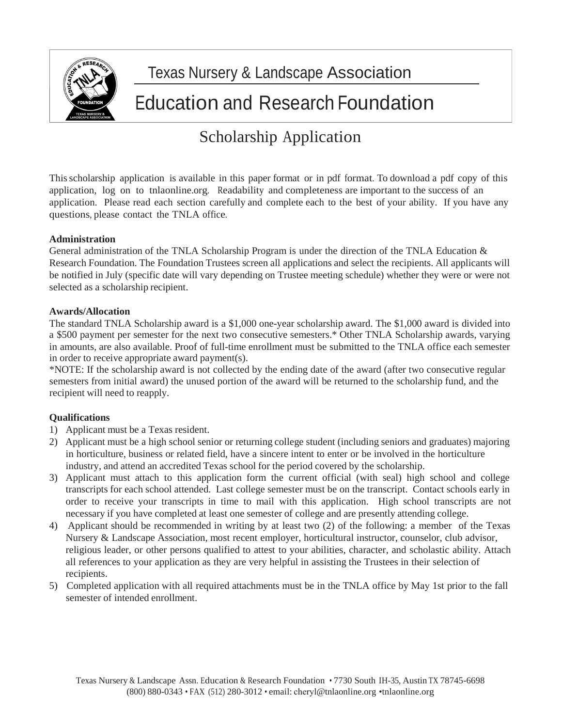

# Texas Nursery & Landscape Association

# Education and Research Foundation

# Scholarship Application

This scholarship application is available in this paper format or in pdf format. To download a pdf copy of this application, log on to tnlaonline.org. Readability and completeness are important to the success of an application. Please read each section carefully and complete each to the best of your ability. If you have any questions, please contact the TNLA office.

### **Administration**

General administration of the TNLA Scholarship Program is under the direction of the TNLA Education & Research Foundation. The Foundation Trustees screen all applications and select the recipients. All applicants will be notified in July (specific date will vary depending on Trustee meeting schedule) whether they were or were not selected as a scholarship recipient.

### **Awards/Allocation**

The standard TNLA Scholarship award is a \$1,000 one-year scholarship award. The \$1,000 award is divided into a \$500 payment per semester for the next two consecutive semesters.\* Other TNLA Scholarship awards, varying in amounts, are also available. Proof of full-time enrollment must be submitted to the TNLA office each semester in order to receive appropriate award payment(s).

\*NOTE: If the scholarship award is not collected by the ending date of the award (after two consecutive regular semesters from initial award) the unused portion of the award will be returned to the scholarship fund, and the recipient will need to reapply.

### **Qualifications**

- 1) Applicant must be a Texas resident.
- 2) Applicant must be a high school senior or returning college student (including seniors and graduates) majoring in horticulture, business or related field, have a sincere intent to enter or be involved in the horticulture industry, and attend an accredited Texas school for the period covered by the scholarship.
- 3) Applicant must attach to this application form the current official (with seal) high school and college transcripts for each school attended. Last college semester must be on the transcript. Contact schools early in order to receive your transcripts in time to mail with this application. High school transcripts are not necessary if you have completed at least one semester of college and are presently attending college.
- 4) Applicant should be recommended in writing by at least two (2) of the following: a member of the Texas Nursery & Landscape Association, most recent employer, horticultural instructor, counselor, club advisor, religious leader, or other persons qualified to attest to your abilities, character, and scholastic ability. Attach all references to your application as they are very helpful in assisting the Trustees in their selection of recipients.
- 5) Completed application with all required attachments must be in the TNLA office by May 1st prior to the fall semester of intended enrollment.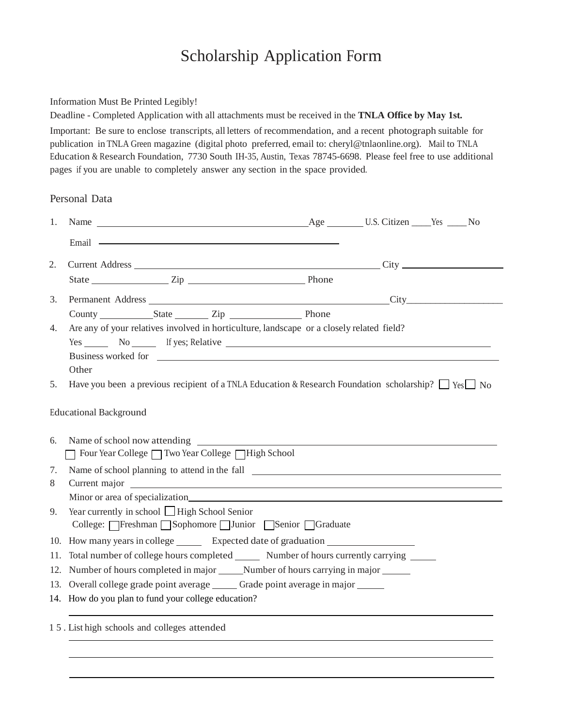### Scholarship Application Form

### Information Must Be Printed Legibly!

Deadline - Completed Application with all attachments must be received in the **TNLA Office by May 1st.**

Important: Be sure to enclose transcripts, all letters of recommendation, and a recent photograph suitable for publication in TNLA Green magazine (digital photo preferred, email to: cheryl@tnlaonline.org). Mail to TNLA Education & Research Foundation, 7730 South IH-35, Austin, Texas 78745-6698. Please feel free to use additional pages if you are unable to completely answer any section in the space provided.

### Personal Data

| 1.                            |                                                                                                                                                                                                                                                                                                                                                                                                                                                                                                                                                                       |  |  |  |  |  |
|-------------------------------|-----------------------------------------------------------------------------------------------------------------------------------------------------------------------------------------------------------------------------------------------------------------------------------------------------------------------------------------------------------------------------------------------------------------------------------------------------------------------------------------------------------------------------------------------------------------------|--|--|--|--|--|
|                               | Email — <u>contract the contract of the contract of the contract of the contract of the contract of the contract of the contract of the contract of the contract of the contract of the contract of the contract of the contract</u>                                                                                                                                                                                                                                                                                                                                  |  |  |  |  |  |
| 2.                            |                                                                                                                                                                                                                                                                                                                                                                                                                                                                                                                                                                       |  |  |  |  |  |
|                               | State <u>Constantine Zip</u> City 2014                                                                                                                                                                                                                                                                                                                                                                                                                                                                                                                                |  |  |  |  |  |
| 3.                            | Permanent Address City City                                                                                                                                                                                                                                                                                                                                                                                                                                                                                                                                           |  |  |  |  |  |
|                               | County State Zip Phone                                                                                                                                                                                                                                                                                                                                                                                                                                                                                                                                                |  |  |  |  |  |
| 4.                            | Are any of your relatives involved in horticulture, landscape or a closely related field?<br>Yes No If yes; Relative No If yes is a set of the set of the set of the set of the set of the set of the set of the set of the set of the set of the set of the set of the set of the set of the set of the set of the set of<br>Business worked for quality and the contract of the contract of the contract of the contract of the contract of the contract of the contract of the contract of the contract of the contract of the contract of the contract o<br>Other |  |  |  |  |  |
| 5.                            | Have you been a previous recipient of a TNLA Education & Research Foundation scholarship? $\Box$ Yes $\Box$ No                                                                                                                                                                                                                                                                                                                                                                                                                                                        |  |  |  |  |  |
| <b>Educational Background</b> |                                                                                                                                                                                                                                                                                                                                                                                                                                                                                                                                                                       |  |  |  |  |  |
| 6.                            | Name of school now attending<br>Theor Year College ∏ Two Year College ∏ High School                                                                                                                                                                                                                                                                                                                                                                                                                                                                                   |  |  |  |  |  |
| 7.                            |                                                                                                                                                                                                                                                                                                                                                                                                                                                                                                                                                                       |  |  |  |  |  |
| 8                             | Current major contract to the contract of the contract of the contract of the contract of the contract of the contract of the contract of the contract of the contract of the contract of the contract of the contract of the                                                                                                                                                                                                                                                                                                                                         |  |  |  |  |  |
|                               | Minor or area of specialization subsequently and the state of specialization state of the state of specialization                                                                                                                                                                                                                                                                                                                                                                                                                                                     |  |  |  |  |  |
| 9.                            | Year currently in school $\Box$ High School Senior<br>College: Freshman Sophomore Junior Senior Graduate                                                                                                                                                                                                                                                                                                                                                                                                                                                              |  |  |  |  |  |
|                               | 10. How many years in college _________ Expected date of graduation _____________                                                                                                                                                                                                                                                                                                                                                                                                                                                                                     |  |  |  |  |  |
|                               | 11. Total number of college hours completed Number of hours currently carrying                                                                                                                                                                                                                                                                                                                                                                                                                                                                                        |  |  |  |  |  |
|                               |                                                                                                                                                                                                                                                                                                                                                                                                                                                                                                                                                                       |  |  |  |  |  |
|                               | 13. Overall college grade point average _______ Grade point average in major ______                                                                                                                                                                                                                                                                                                                                                                                                                                                                                   |  |  |  |  |  |
|                               | 14. How do you plan to fund your college education?                                                                                                                                                                                                                                                                                                                                                                                                                                                                                                                   |  |  |  |  |  |
|                               | 15. List high schools and colleges attended                                                                                                                                                                                                                                                                                                                                                                                                                                                                                                                           |  |  |  |  |  |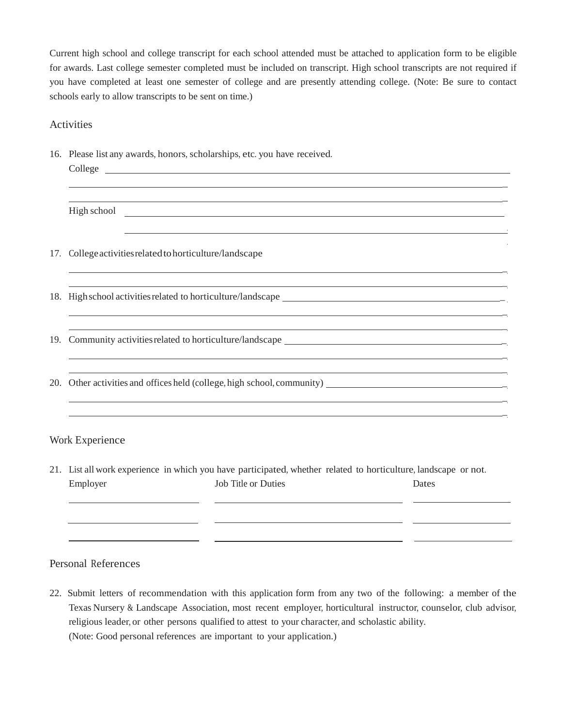Current high school and college transcript for each school attended must be attached to application form to be eligible for awards. Last college semester completed must be included on transcript. High school transcripts are not required if you have completed at least one semester of college and are presently attending college. (Note: Be sure to contact schools early to allow transcripts to be sent on time.)

### Activities

|  |  |  |  | 16. Please list any awards, honors, scholarships, etc. you have received. |
|--|--|--|--|---------------------------------------------------------------------------|
|--|--|--|--|---------------------------------------------------------------------------|

|     | High school <u>and</u> the school and the school of the school and the school of the school of the school of the school of the school of the school of the school of the school of the school of the school of the school of the sc |
|-----|-------------------------------------------------------------------------------------------------------------------------------------------------------------------------------------------------------------------------------------|
|     |                                                                                                                                                                                                                                     |
| 17. | College activities related to horticulture/landscape                                                                                                                                                                                |
|     | <u> 1989 - Johann Stoff, amerikansk politiker (d. 1989)</u>                                                                                                                                                                         |
|     |                                                                                                                                                                                                                                     |
|     | ,我们也不会有什么。""我们的人,我们也不会有什么?""我们的人,我们也不会有什么?""我们的人,我们也不会有什么?""我们的人,我们也不会有什么?""我们的人                                                                                                                                                    |
|     |                                                                                                                                                                                                                                     |
|     |                                                                                                                                                                                                                                     |
|     |                                                                                                                                                                                                                                     |
|     |                                                                                                                                                                                                                                     |
|     |                                                                                                                                                                                                                                     |
|     | Work Experience                                                                                                                                                                                                                     |

21. List all work experience in which you have participated, whether related to horticulture, landscape or not. Employer Job Title or Duties Dates

#### Personal References

22. Submit letters of recommendation with this application form from any two of the following: a member of the Texas Nursery & Landscape Association, most recent employer, horticultural instructor, counselor, club advisor, religious leader, or other persons qualified to attest to your character, and scholastic ability. (Note: Good personal references are important to your application.)